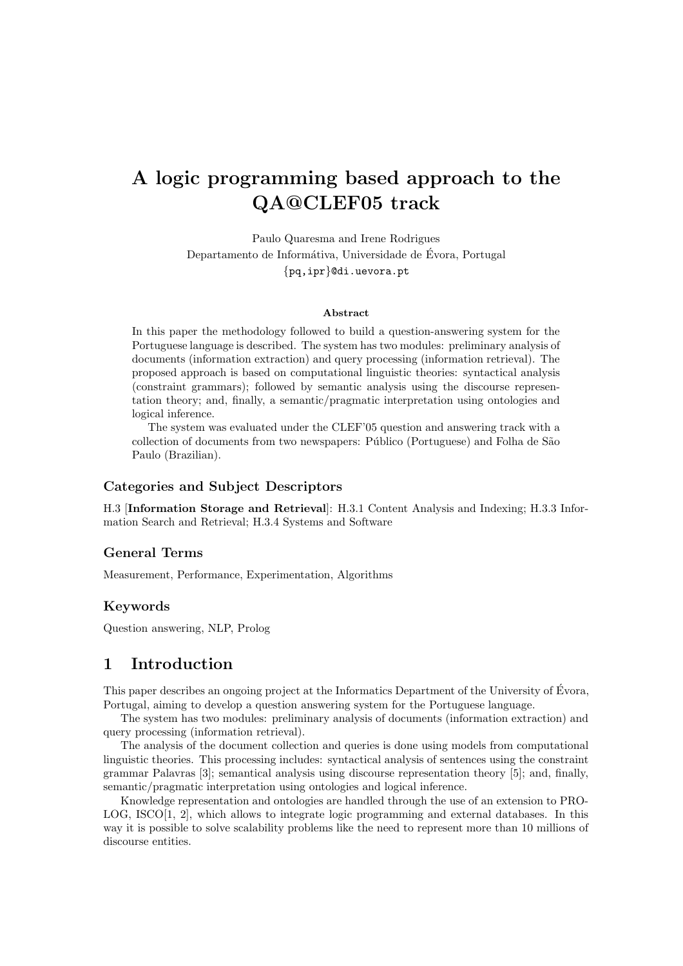# A logic programming based approach to the QA@CLEF05 track

Paulo Quaresma and Irene Rodrigues Departamento de Informátiva, Universidade de Evora, Portugal {pq,ipr}@di.uevora.pt

#### Abstract

In this paper the methodology followed to build a question-answering system for the Portuguese language is described. The system has two modules: preliminary analysis of documents (information extraction) and query processing (information retrieval). The proposed approach is based on computational linguistic theories: syntactical analysis (constraint grammars); followed by semantic analysis using the discourse representation theory; and, finally, a semantic/pragmatic interpretation using ontologies and logical inference.

The system was evaluated under the CLEF'05 question and answering track with a collection of documents from two newspapers: Público (Portuguese) and Folha de São Paulo (Brazilian).

#### Categories and Subject Descriptors

H.3 [Information Storage and Retrieval]: H.3.1 Content Analysis and Indexing; H.3.3 Information Search and Retrieval; H.3.4 Systems and Software

#### General Terms

Measurement, Performance, Experimentation, Algorithms

#### Keywords

Question answering, NLP, Prolog

## 1 Introduction

This paper describes an ongoing project at the Informatics Department of the University of Evora, Portugal, aiming to develop a question answering system for the Portuguese language.

The system has two modules: preliminary analysis of documents (information extraction) and query processing (information retrieval).

The analysis of the document collection and queries is done using models from computational linguistic theories. This processing includes: syntactical analysis of sentences using the constraint grammar Palavras [3]; semantical analysis using discourse representation theory [5]; and, finally, semantic/pragmatic interpretation using ontologies and logical inference.

Knowledge representation and ontologies are handled through the use of an extension to PRO-LOG, ISCO[1, 2], which allows to integrate logic programming and external databases. In this way it is possible to solve scalability problems like the need to represent more than 10 millions of discourse entities.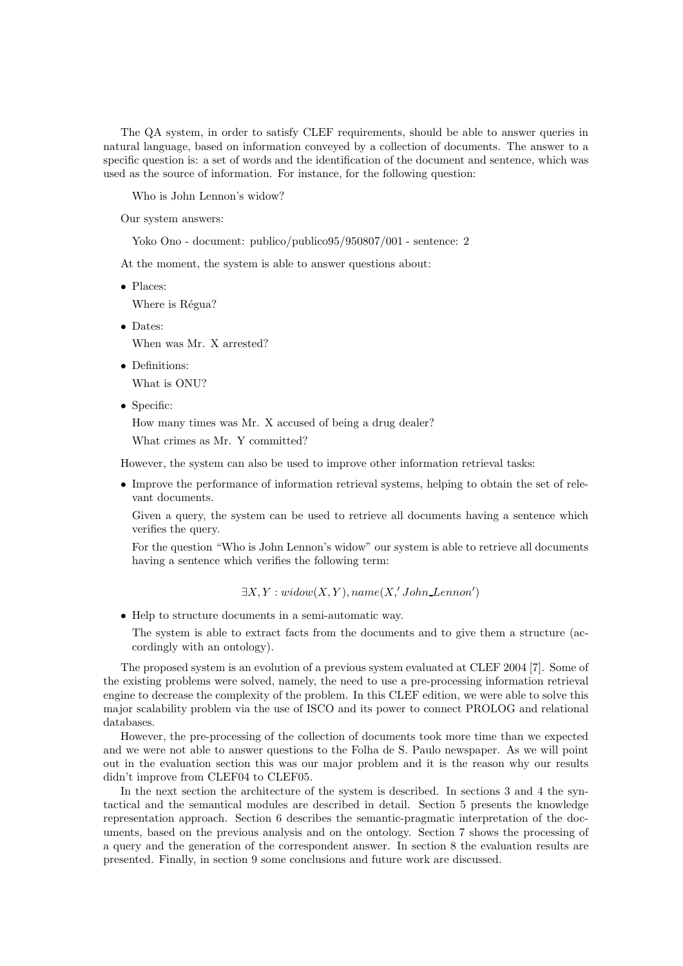The QA system, in order to satisfy CLEF requirements, should be able to answer queries in natural language, based on information conveyed by a collection of documents. The answer to a specific question is: a set of words and the identification of the document and sentence, which was used as the source of information. For instance, for the following question:

Who is John Lennon's widow?

Our system answers:

Yoko Ono - document: publico/publico95/950807/001 - sentence: 2

At the moment, the system is able to answer questions about:

• Places:

Where is Régua?

• Dates:

When was Mr. X arrested?

- Definitions: What is ONU?
- Specific:

How many times was Mr. X accused of being a drug dealer?

What crimes as Mr. Y committed?

However, the system can also be used to improve other information retrieval tasks:

• Improve the performance of information retrieval systems, helping to obtain the set of relevant documents.

Given a query, the system can be used to retrieve all documents having a sentence which verifies the query.

For the question "Who is John Lennon's widow" our system is able to retrieve all documents having a sentence which verifies the following term:

 $\exists X, Y : window(X, Y), name(X, 'John\_Lennon')$ 

• Help to structure documents in a semi-automatic way.

The system is able to extract facts from the documents and to give them a structure (accordingly with an ontology).

The proposed system is an evolution of a previous system evaluated at CLEF 2004 [7]. Some of the existing problems were solved, namely, the need to use a pre-processing information retrieval engine to decrease the complexity of the problem. In this CLEF edition, we were able to solve this major scalability problem via the use of ISCO and its power to connect PROLOG and relational databases.

However, the pre-processing of the collection of documents took more time than we expected and we were not able to answer questions to the Folha de S. Paulo newspaper. As we will point out in the evaluation section this was our major problem and it is the reason why our results didn't improve from CLEF04 to CLEF05.

In the next section the architecture of the system is described. In sections 3 and 4 the syntactical and the semantical modules are described in detail. Section 5 presents the knowledge representation approach. Section 6 describes the semantic-pragmatic interpretation of the documents, based on the previous analysis and on the ontology. Section 7 shows the processing of a query and the generation of the correspondent answer. In section 8 the evaluation results are presented. Finally, in section 9 some conclusions and future work are discussed.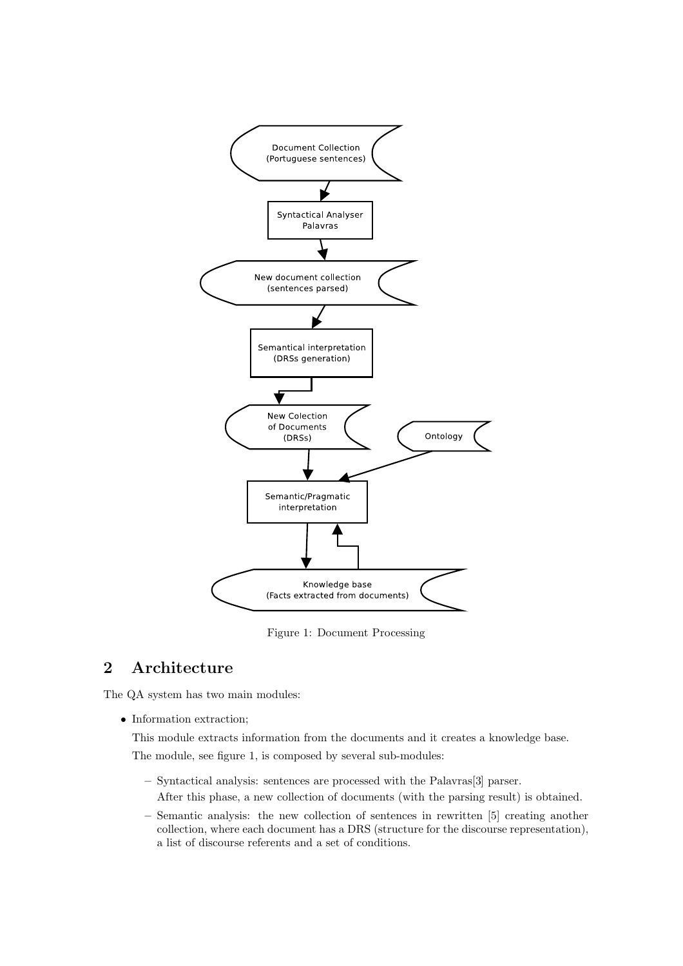

Figure 1: Document Processing

# 2 Architecture

The QA system has two main modules:

• Information extraction;

This module extracts information from the documents and it creates a knowledge base. The module, see figure 1, is composed by several sub-modules:

- Syntactical analysis: sentences are processed with the Palavras[3] parser. After this phase, a new collection of documents (with the parsing result) is obtained.
- Semantic analysis: the new collection of sentences in rewritten [5] creating another collection, where each document has a DRS (structure for the discourse representation), a list of discourse referents and a set of conditions.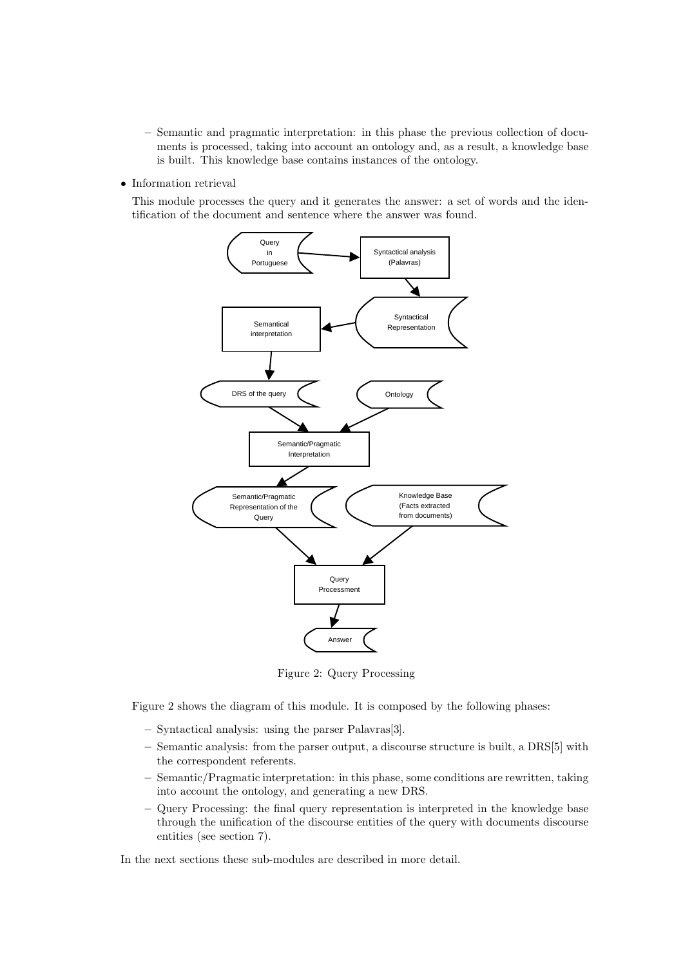- Semantic and pragmatic interpretation: in this phase the previous collection of documents is processed, taking into account an ontology and, as a result, a knowledge base is built. This knowledge base contains instances of the ontology.
- Information retrieval

This module processes the query and it generates the answer: a set of words and the identification of the document and sentence where the answer was found.



Figure 2: Query Processing

Figure 2 shows the diagram of this module. It is composed by the following phases:

- Syntactical analysis: using the parser Palavras[3].
- Semantic analysis: from the parser output, a discourse structure is built, a DRS[5] with the correspondent referents.
- Semantic/Pragmatic interpretation: in this phase, some conditions are rewritten, taking into account the ontology, and generating a new DRS.
- Query Processing: the final query representation is interpreted in the knowledge base through the unification of the discourse entities of the query with documents discourse entities (see section 7).

In the next sections these sub-modules are described in more detail.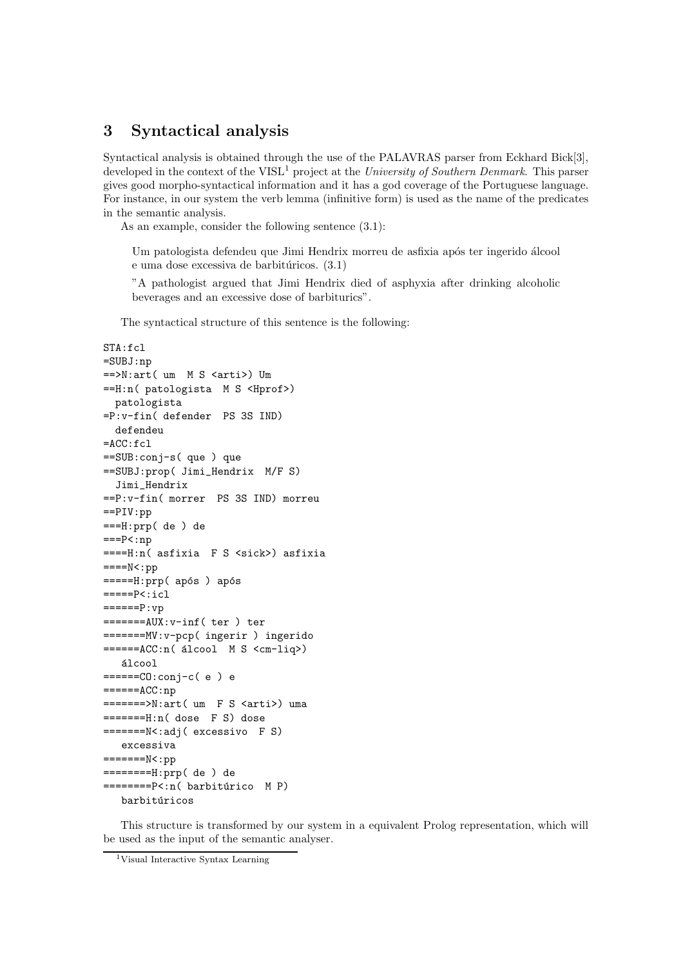## 3 Syntactical analysis

Syntactical analysis is obtained through the use of the PALAVRAS parser from Eckhard Bick[3], developed in the context of the  $VISL<sup>1</sup>$  project at the University of Southern Denmark. This parser gives good morpho-syntactical information and it has a god coverage of the Portuguese language. For instance, in our system the verb lemma (infinitive form) is used as the name of the predicates in the semantic analysis.

As an example, consider the following sentence (3.1):

Um patologista defendeu que Jimi Hendrix morreu de asfixia após ter ingerido álcool e uma dose excessiva de barbitúricos.  $(3.1)$ 

"A pathologist argued that Jimi Hendrix died of asphyxia after drinking alcoholic beverages and an excessive dose of barbiturics".

The syntactical structure of this sentence is the following:

```
STA:fcl
=SUBJ:np
==>N:art( um M S <arti>) Um
==H:n( patologista M S <Hprof>)
 patologista
=P:v-fin( defender PS 3S IND)
  defendeu
=ACC:fcl==SUB:conj-s( que ) que
==SUBJ:prop( Jimi_Hendrix M/F S)
  Jimi_Hendrix
==P:v-fin( morrer PS 3S IND) morreu
==PIV:pp
===H:prp( de ) de
==P<:np====H:n( asfixia F S <sick>) asfixia
===N <: pp
=====H:prp( após ) após
=====P<:icl
======P:vp
=======AUX:v-inf( ter ) ter
=======MV:v-pcp( ingerir ) ingerido
====ACC:n( álcool M S < cm-ligalcool ´
======CO:conj-c( e ) e
====ACC:np=======>N:art( um F S <arti>) uma
=====H:n dose F S) dose
=======N<:adj( excessivo F S)
   excessiva
=======N<:pp
========H:prp( de ) de
========P<:n( barbitúrico M P)
   barbitúricos
```
This structure is transformed by our system in a equivalent Prolog representation, which will be used as the input of the semantic analyser.

<sup>1</sup>Visual Interactive Syntax Learning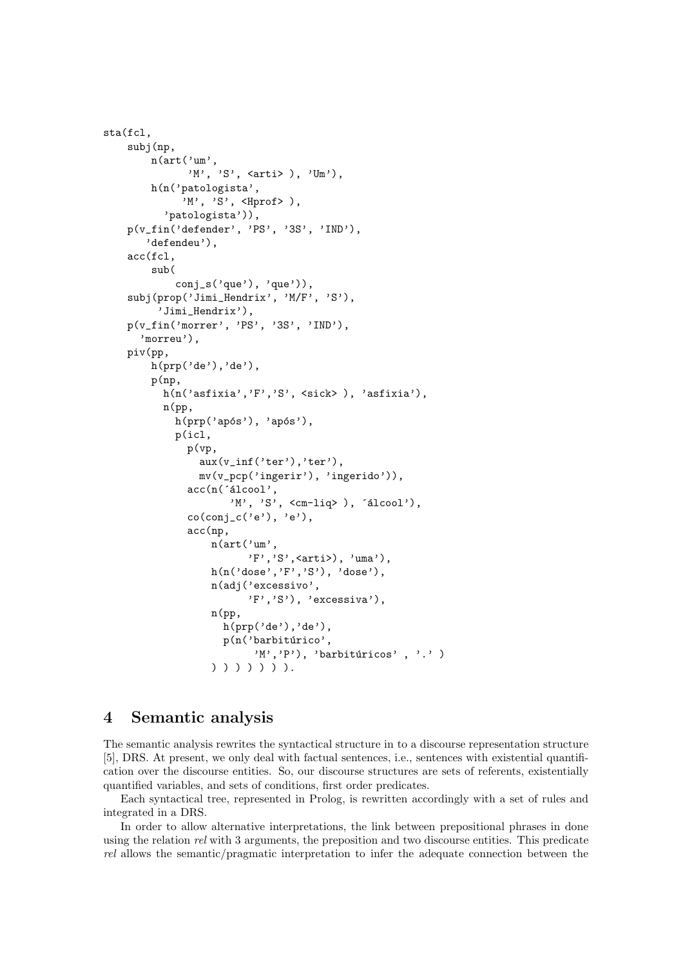```
sta(fcl,
    subj(np,
        n(art('um',
               'M', 'S', \langle \text{arti} \rangle), 'Um'),
        h(n('patologista',
              'M', 'S', <Hprof> ),
           'patologista')),
    p(v_fin('defender', 'PS', '3S', 'IND'),
       'defendeu'),
    acc(fcl,
        sub(
             conj_s('que'), 'que')),
    subj(prop('Jimi_Hendrix', 'M/F', 'S'),
          'Jimi_Hendrix'),
    p(v_fin('morrer', 'PS', '3S', 'IND'),
      'morreu'),
    piv(pp,
        h(\text{prp}('de'), 'de'),p(np,
          h(n('asfixia','F','S', <sick>), 'asfixia'),
          n(pp,
            h(prp('após'), 'após'),
            p(icl,
               p(vp,
                 aux(v_inf('ter'),'ter'),
                 mv(v_pcp('ingerir'), 'ingerido')),
               acc(n(´álcool',
                      'M', 'S', <cm-liq> ), \text{a}[cool'),
               co(conj_c('e'), 'e'),acc(np,
                   n(art('um',
                          'F','S',<arti>), 'uma'),
                   h(n('dose', 'F', 'S')), 'dose'),
                   n(adj('excessivo',
                          'F','S'), 'excessiva'),
                   n(pp,
                     h(prp('de'), 'de'),p(n('barbitúrico',
                          'M','P'), 'barbitúricos' , '.' )
                   ) ) ) ) ) ) ).
```
### 4 Semantic analysis

The semantic analysis rewrites the syntactical structure in to a discourse representation structure [5], DRS. At present, we only deal with factual sentences, i.e., sentences with existential quantification over the discourse entities. So, our discourse structures are sets of referents, existentially quantified variables, and sets of conditions, first order predicates.

Each syntactical tree, represented in Prolog, is rewritten accordingly with a set of rules and integrated in a DRS.

In order to allow alternative interpretations, the link between prepositional phrases in done using the relation rel with 3 arguments, the preposition and two discourse entities. This predicate rel allows the semantic/pragmatic interpretation to infer the adequate connection between the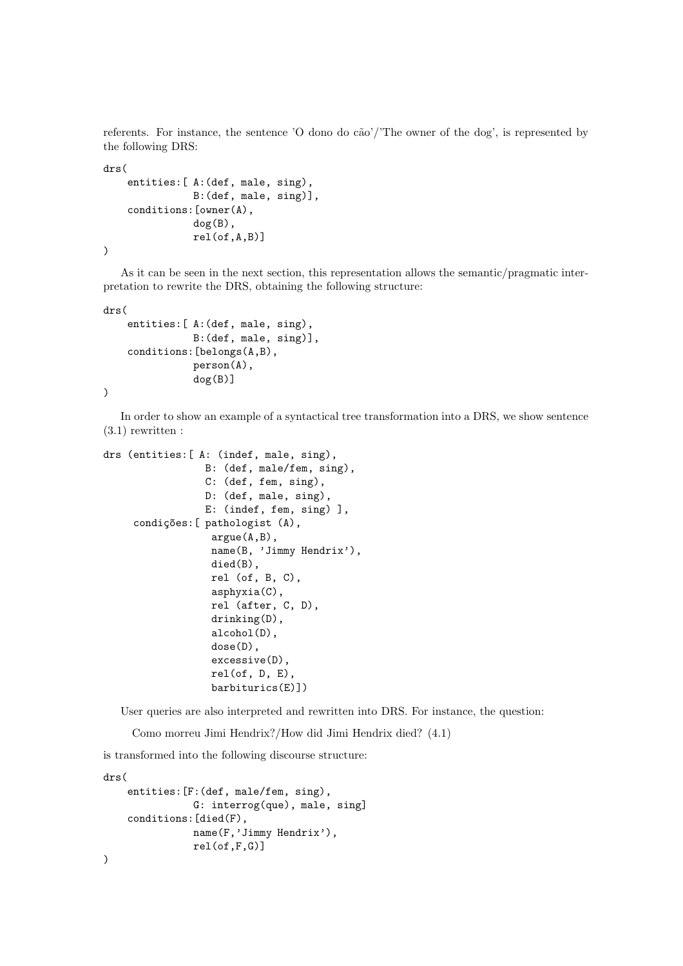referents. For instance, the sentence 'O dono do  $c\tilde{a}o'/T$ he owner of the dog', is represented by the following DRS:

```
drs(
    entities:[ A:(def, male, sing),
               B:(def, male, sing)],
    conditions:[owner(A),
               dog(B),
               rel(of,A,B)]
```

```
)
```
As it can be seen in the next section, this representation allows the semantic/pragmatic interpretation to rewrite the DRS, obtaining the following structure:

```
drs(
```

```
entities:[ A:(def, male, sing),
           B:(def, male, sing)],
conditions:[belongs(A,B),
           person(A),
           dog(B)]
```

```
)
```
In order to show an example of a syntactical tree transformation into a DRS, we show sentence  $(3.1)$  rewritten :

```
drs (entities:[ A: (indef, male, sing),
                 B: (def, male/fem, sing),
                 C: (def, fem, sing),
                 D: (def, male, sing),
                 E: (indef, fem, sing) ],
     condições: [ pathologist (A),
                  argue(A,B),
                  name(B, 'Jimmy Hendrix'),
                  died(B),
                  rel (of, B, C),
                  asphyxia(C),
                  rel (after, C, D),
                  drinking(D),
                  alcohol(D),
                  dose(D),
                  excessive(D),
                  rel(of, D, E),
                  barbiturics(E)])
```
User queries are also interpreted and rewritten into DRS. For instance, the question:

Como morreu Jimi Hendrix?/How did Jimi Hendrix died? (4.1)

is transformed into the following discourse structure:

```
drs(
    entities:[F:(def, male/fem, sing),
               G: interrog(que), male, sing]
    conditions:[died(F),
               name(F,'Jimmy Hendrix'),
               rel(of,F,G)])
```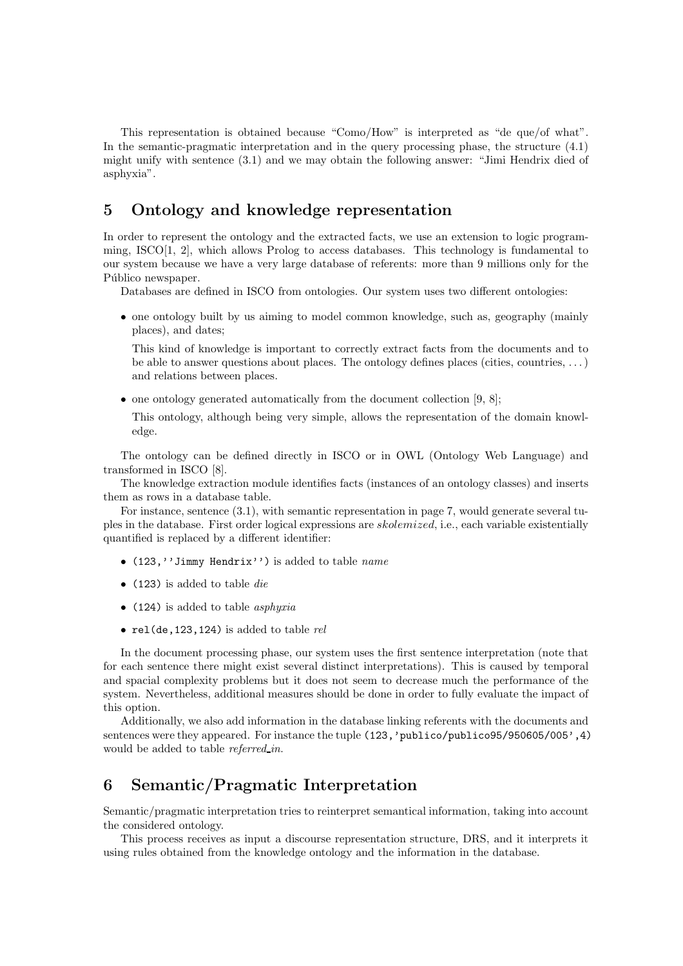This representation is obtained because "Como/How" is interpreted as "de que/of what". In the semantic-pragmatic interpretation and in the query processing phase, the structure (4.1) might unify with sentence (3.1) and we may obtain the following answer: "Jimi Hendrix died of asphyxia".

# 5 Ontology and knowledge representation

In order to represent the ontology and the extracted facts, we use an extension to logic programming, ISCO[1, 2], which allows Prolog to access databases. This technology is fundamental to our system because we have a very large database of referents: more than 9 millions only for the Público newspaper.

Databases are defined in ISCO from ontologies. Our system uses two different ontologies:

• one ontology built by us aiming to model common knowledge, such as, geography (mainly places), and dates;

This kind of knowledge is important to correctly extract facts from the documents and to be able to answer questions about places. The ontology defines places (cities, countries, . . .) and relations between places.

• one ontology generated automatically from the document collection [9, 8];

This ontology, although being very simple, allows the representation of the domain knowledge.

The ontology can be defined directly in ISCO or in OWL (Ontology Web Language) and transformed in ISCO [8].

The knowledge extraction module identifies facts (instances of an ontology classes) and inserts them as rows in a database table.

For instance, sentence (3.1), with semantic representation in page 7, would generate several tuples in the database. First order logical expressions are skolemized, i.e., each variable existentially quantified is replaced by a different identifier:

- (123,''Jimmy Hendrix'') is added to table name
- (123) is added to table *die*
- (124) is added to table asphyxia
- rel(de, 123, 124) is added to table  $rel$

In the document processing phase, our system uses the first sentence interpretation (note that for each sentence there might exist several distinct interpretations). This is caused by temporal and spacial complexity problems but it does not seem to decrease much the performance of the system. Nevertheless, additional measures should be done in order to fully evaluate the impact of this option.

Additionally, we also add information in the database linking referents with the documents and sentences were they appeared. For instance the tuple (123, 'publico/publico95/950605/005',4) would be added to table referred in.

# 6 Semantic/Pragmatic Interpretation

Semantic/pragmatic interpretation tries to reinterpret semantical information, taking into account the considered ontology.

This process receives as input a discourse representation structure, DRS, and it interprets it using rules obtained from the knowledge ontology and the information in the database.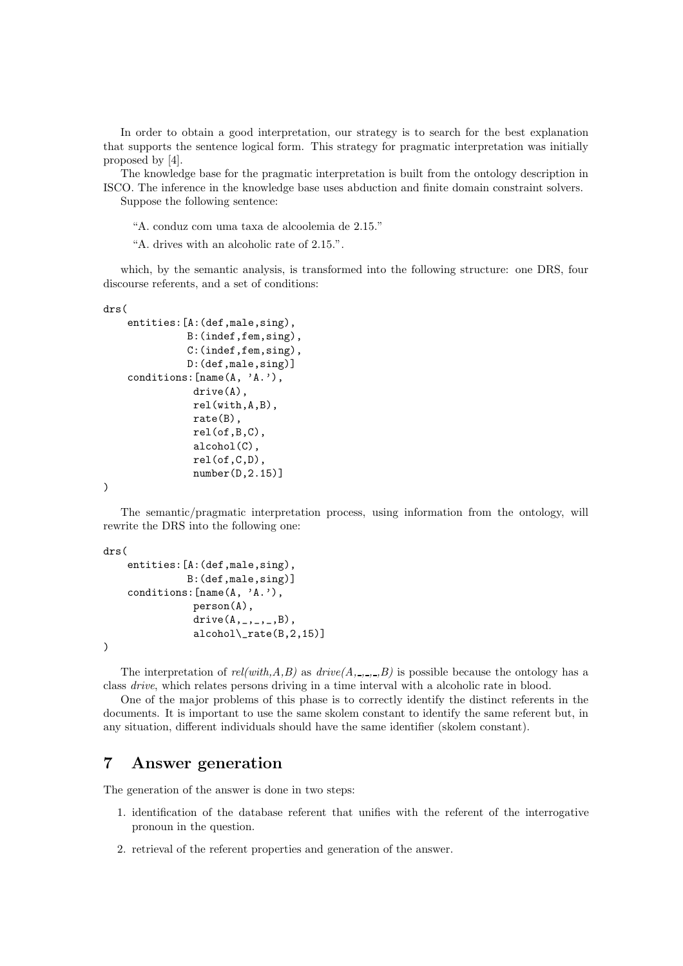In order to obtain a good interpretation, our strategy is to search for the best explanation that supports the sentence logical form. This strategy for pragmatic interpretation was initially proposed by [4].

The knowledge base for the pragmatic interpretation is built from the ontology description in ISCO. The inference in the knowledge base uses abduction and finite domain constraint solvers.

Suppose the following sentence:

"A. conduz com uma taxa de alcoolemia de 2.15."

"A. drives with an alcoholic rate of 2.15.".

which, by the semantic analysis, is transformed into the following structure: one DRS, four discourse referents, and a set of conditions:

drs(

```
entities: [A: (def, male, sing),
          B:(indef,fem,sing),
          C:(indef,fem,sing),
          D:(def,male,sing)]
conditions:[name(A, 'A.'),
           drive(A),
           rel(with,A,B),
           rate(B),
           rel(of,B,C),
           alcohol(C),
           rel(of,C,D),
           number(D,2.15)]
```
The semantic/pragmatic interpretation process, using information from the ontology, will rewrite the DRS into the following one:

drs(

)

```
entities:[A:(def,male,sing),
              B:(def,male,sing)]
    conditions:[name(A, 'A.'),
               person(A),
               drive(A, ,_,\_,B),
               alcohol\_rate(B,2,15)]
)
```
The interpretation of  $rel(with, A, B)$  as  $drive(A, \ldots, B)$  is possible because the ontology has a class drive, which relates persons driving in a time interval with a alcoholic rate in blood.

One of the major problems of this phase is to correctly identify the distinct referents in the documents. It is important to use the same skolem constant to identify the same referent but, in any situation, different individuals should have the same identifier (skolem constant).

## 7 Answer generation

The generation of the answer is done in two steps:

- 1. identification of the database referent that unifies with the referent of the interrogative pronoun in the question.
- 2. retrieval of the referent properties and generation of the answer.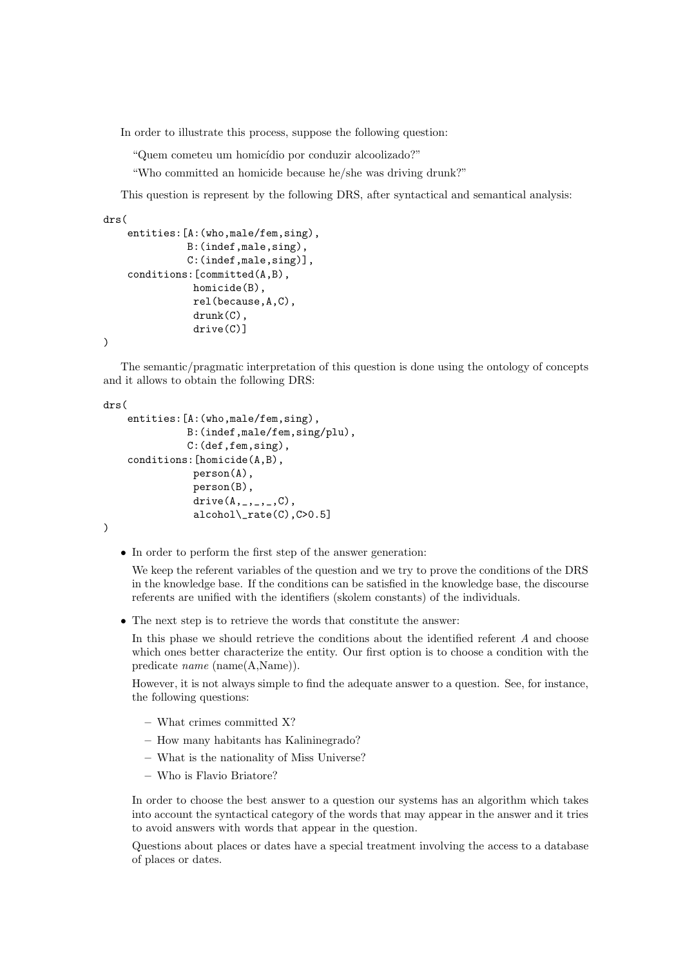In order to illustrate this process, suppose the following question:

"Quem cometeu um homicídio por conduzir alcoolizado?"

"Who committed an homicide because he/she was driving drunk?"

This question is represent by the following DRS, after syntactical and semantical analysis:

drs(

```
entities:[A:(who,male/fem,sing),
          B:(indef,male,sing),
          C:(indef,male,sing)],
conditions:[committed(A,B),
           homicide(B),
           rel(because,A,C),
           drunk(C),
           drive(C)]
```
)

The semantic/pragmatic interpretation of this question is done using the ontology of concepts and it allows to obtain the following DRS:

drs(

```
entities:[A:(who,male/fem,sing),
           B:(indef,male/fem,sing/plu),
           C:(def,fem,sing),
conditions:[homicide(A,B),
            person(A),
            person(B),
            drive(A, _{-}, _{-}, _{-}, _{C}),alcohol\_rate(C),C>0.5]
```
)

• In order to perform the first step of the answer generation:

We keep the referent variables of the question and we try to prove the conditions of the DRS in the knowledge base. If the conditions can be satisfied in the knowledge base, the discourse referents are unified with the identifiers (skolem constants) of the individuals.

• The next step is to retrieve the words that constitute the answer:

In this phase we should retrieve the conditions about the identified referent A and choose which ones better characterize the entity. Our first option is to choose a condition with the predicate name (name(A,Name)).

However, it is not always simple to find the adequate answer to a question. See, for instance, the following questions:

- What crimes committed X?
- How many habitants has Kalininegrado?
- What is the nationality of Miss Universe?
- Who is Flavio Briatore?

In order to choose the best answer to a question our systems has an algorithm which takes into account the syntactical category of the words that may appear in the answer and it tries to avoid answers with words that appear in the question.

Questions about places or dates have a special treatment involving the access to a database of places or dates.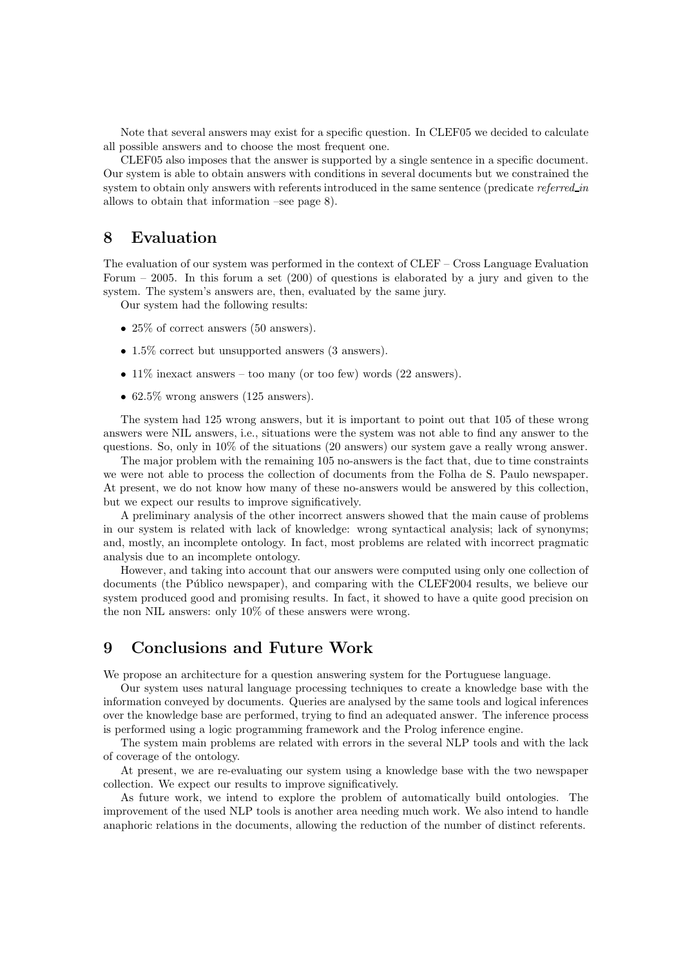Note that several answers may exist for a specific question. In CLEF05 we decided to calculate all possible answers and to choose the most frequent one.

CLEF05 also imposes that the answer is supported by a single sentence in a specific document. Our system is able to obtain answers with conditions in several documents but we constrained the system to obtain only answers with referents introduced in the same sentence (predicate referred in allows to obtain that information –see page 8).

## 8 Evaluation

The evaluation of our system was performed in the context of CLEF – Cross Language Evaluation Forum – 2005. In this forum a set  $(200)$  of questions is elaborated by a jury and given to the system. The system's answers are, then, evaluated by the same jury.

Our system had the following results:

- 25\% of correct answers (50 answers).
- 1.5\% correct but unsupported answers (3 answers).
- 11% inexact answers too many (or too few) words  $(22 \text{ answers})$ .
- $62.5\%$  wrong answers (125 answers).

The system had 125 wrong answers, but it is important to point out that 105 of these wrong answers were NIL answers, i.e., situations were the system was not able to find any answer to the questions. So, only in 10% of the situations (20 answers) our system gave a really wrong answer.

The major problem with the remaining 105 no-answers is the fact that, due to time constraints we were not able to process the collection of documents from the Folha de S. Paulo newspaper. At present, we do not know how many of these no-answers would be answered by this collection, but we expect our results to improve significatively.

A preliminary analysis of the other incorrect answers showed that the main cause of problems in our system is related with lack of knowledge: wrong syntactical analysis; lack of synonyms; and, mostly, an incomplete ontology. In fact, most problems are related with incorrect pragmatic analysis due to an incomplete ontology.

However, and taking into account that our answers were computed using only one collection of documents (the Publico newspaper), and comparing with the CLEF2004 results, we believe our system produced good and promising results. In fact, it showed to have a quite good precision on the non NIL answers: only 10% of these answers were wrong.

## 9 Conclusions and Future Work

We propose an architecture for a question answering system for the Portuguese language.

Our system uses natural language processing techniques to create a knowledge base with the information conveyed by documents. Queries are analysed by the same tools and logical inferences over the knowledge base are performed, trying to find an adequated answer. The inference process is performed using a logic programming framework and the Prolog inference engine.

The system main problems are related with errors in the several NLP tools and with the lack of coverage of the ontology.

At present, we are re-evaluating our system using a knowledge base with the two newspaper collection. We expect our results to improve significatively.

As future work, we intend to explore the problem of automatically build ontologies. The improvement of the used NLP tools is another area needing much work. We also intend to handle anaphoric relations in the documents, allowing the reduction of the number of distinct referents.